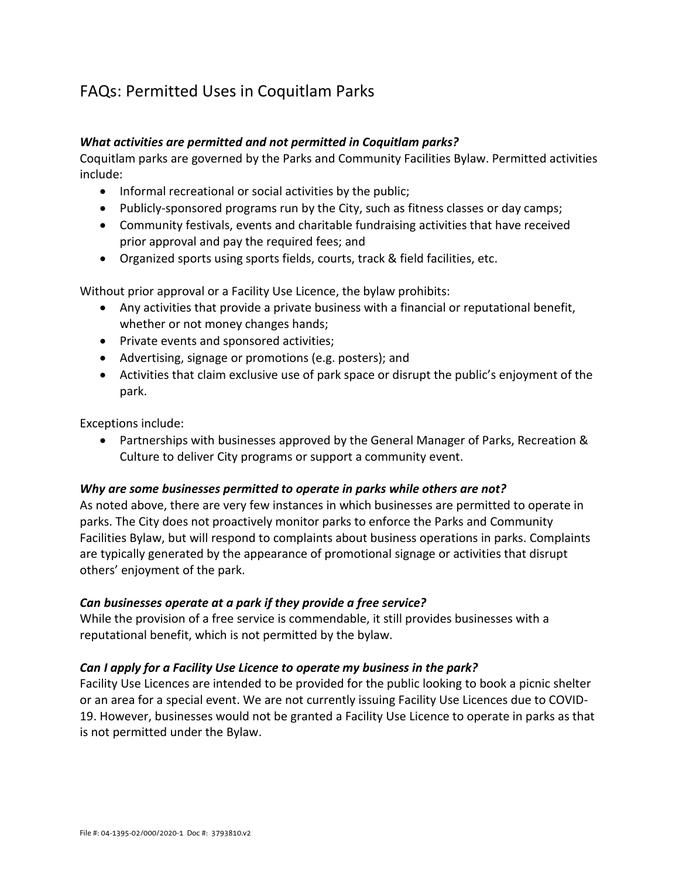# FAQs: Permitted Uses in Coquitlam Parks

## *What activities are permitted and not permitted in Coquitlam parks?*

Coquitlam parks are governed by the Parks and Community Facilities Bylaw. Permitted activities include:

- Informal recreational or social activities by the public;
- Publicly-sponsored programs run by the City, such as fitness classes or day camps;
- Community festivals, events and charitable fundraising activities that have received prior approval and pay the required fees; and
- Organized sports using sports fields, courts, track & field facilities, etc.

Without prior approval or a Facility Use Licence, the bylaw prohibits:

- Any activities that provide a private business with a financial or reputational benefit, whether or not money changes hands;
- Private events and sponsored activities;
- Advertising, signage or promotions (e.g. posters); and
- Activities that claim exclusive use of park space or disrupt the public's enjoyment of the park.

Exceptions include:

• Partnerships with businesses approved by the General Manager of Parks, Recreation & Culture to deliver City programs or support a community event.

#### *Why are some businesses permitted to operate in parks while others are not?*

As noted above, there are very few instances in which businesses are permitted to operate in parks. The City does not proactively monitor parks to enforce the Parks and Community Facilities Bylaw, but will respond to complaints about business operations in parks. Complaints are typically generated by the appearance of promotional signage or activities that disrupt others' enjoyment of the park.

#### *Can businesses operate at a park if they provide a free service?*

While the provision of a free service is commendable, it still provides businesses with a reputational benefit, which is not permitted by the bylaw.

#### *Can I apply for a Facility Use Licence to operate my business in the park?*

Facility Use Licences are intended to be provided for the public looking to book a picnic shelter or an area for a special event. We are not currently issuing Facility Use Licences due to COVID-19. However, businesses would not be granted a Facility Use Licence to operate in parks as that is not permitted under the Bylaw.